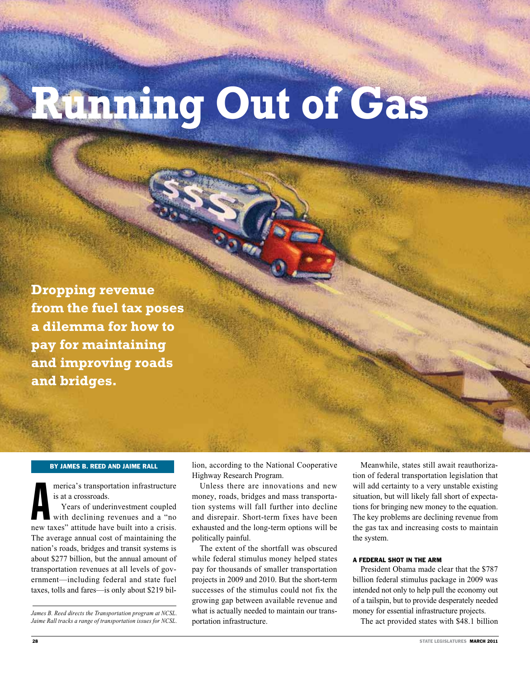# **Running Out of Gas**

**Dropping revenue from the fuel tax poses a dilemma for how to pay for maintaining and improving roads and bridges.**

#### By James B. Reed and Jaime Rall

merica's transportation infrastructure<br>is at a crossroads.<br>Years of underinvestment coupled<br>with declining revenues and a "no<br>new taxes" attitude have built into a crisis. merica's transportation infrastructure is at a crossroads. Years of underinvestment coupled with declining revenues and a "no The average annual cost of maintaining the nation's roads, bridges and transit systems is about \$277 billion, but the annual amount of transportation revenues at all levels of government—including federal and state fuel taxes, tolls and fares—is only about \$219 bil-

*James B. Reed directs the Transportation program at NCSL. Jaime Rall tracks a range of transportation issues for NCSL.* lion, according to the National Cooperative Highway Research Program.

Unless there are innovations and new money, roads, bridges and mass transportation systems will fall further into decline and disrepair. Short-term fixes have been exhausted and the long-term options will be politically painful.

The extent of the shortfall was obscured while federal stimulus money helped states pay for thousands of smaller transportation projects in 2009 and 2010. But the short-term successes of the stimulus could not fix the growing gap between available revenue and what is actually needed to maintain our transportation infrastructure.

Meanwhile, states still await reauthorization of federal transportation legislation that will add certainty to a very unstable existing situation, but will likely fall short of expectations for bringing new money to the equation. The key problems are declining revenue from the gas tax and increasing costs to maintain the system.

#### A FEDERAL SHOT IN THE ARM

President Obama made clear that the \$787 billion federal stimulus package in 2009 was intended not only to help pull the economy out of a tailspin, but to provide desperately needed money for essential infrastructure projects.

The act provided states with \$48.1 billion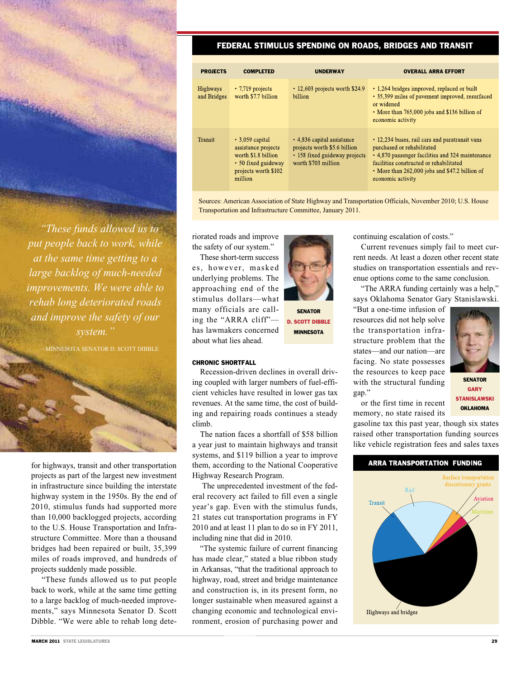*"These funds allowed us to put people back to work, while at the same time getting to a large backlog of much-needed improvements. We were able to rehab long deteriorated roads and improve the safety of our system."*

—MINNESOTA SENATOR D. SCOTT DIBBLE



for highways, transit and other transportation projects as part of the largest new investment in infrastructure since building the interstate highway system in the 1950s. By the end of 2010, stimulus funds had supported more than 10,000 backlogged projects, according to the U.S. House Transportation and Infrastructure Committee. More than a thousand bridges had been repaired or built, 35,399 miles of roads improved, and hundreds of projects suddenly made possible.

 "These funds allowed us to put people back to work, while at the same time getting to a large backlog of much-needed improvements," says Minnesota Senator D. Scott Dibble. "We were able to rehab long dete-

#### Federal Stimulus Spending On Roads, Bridges and Transit

| <b>PROJECTS</b>                | <b>COMPLETED</b>                                                                                                              | <b>UNDERWAY</b>                                                                                                    | <b>OVERALL ARRA EFFORT</b>                                                                                                                                                                                                                         |
|--------------------------------|-------------------------------------------------------------------------------------------------------------------------------|--------------------------------------------------------------------------------------------------------------------|----------------------------------------------------------------------------------------------------------------------------------------------------------------------------------------------------------------------------------------------------|
| <b>Highways</b><br>and Bridges | $\cdot$ 7.719 projects<br>worth \$7.7 billion                                                                                 | $\cdot$ 12,603 projects worth \$24.9<br>billion                                                                    | • 1.264 bridges improved, replaced or built<br>• 35,399 miles of pavement improved, resurfaced<br>or widened<br>• More than 765,000 jobs and \$136 billion of<br>economic activity                                                                 |
| Transit                        | $\cdot$ 3,059 capital<br>assistance projects<br>worth \$1.8 billion<br>• 50 fixed guideway<br>projects worth \$102<br>million | • 4,836 capital assistance<br>projects worth \$5.6 billion<br>• 158 fixed guideway projects<br>worth \$703 million | • 12,234 buses, rail cars and paratransit vans<br>purchased or rehabilitated<br>• 4,870 passenger facilities and 324 maintenance<br>facilities constructed or rehabilitated<br>• More than 262,000 jobs and \$47.2 billion of<br>economic activity |

Sources: American Association of State Highway and Transportation Officials, November 2010; U.S. House Transportation and Infrastructure Committee, January 2011.

riorated roads and improve the safety of our system."

These short-term success es, however, masked underlying problems. The approaching end of the stimulus dollars—what many officials are calling the "ARRA cliff" has lawmakers concerned about what lies ahead.



**SENATOR** D. Scott dibble **MINNESOTA** 

#### CHRONIC SHORTFALL

Recession-driven declines in overall driving coupled with larger numbers of fuel-efficient vehicles have resulted in lower gas tax revenues. At the same time, the cost of building and repairing roads continues a steady climb.

The nation faces a shortfall of \$58 billion a year just to maintain highways and transit systems, and \$119 billion a year to improve them, according to the National Cooperative Highway Research Program.

 The unprecedented investment of the federal recovery act failed to fill even a single year's gap. Even with the stimulus funds, 21 states cut transportation programs in FY 2010 and at least 11 plan to do so in FY 2011, including nine that did in 2010.

"The systemic failure of current financing has made clear," stated a blue ribbon study in Arkansas, "that the traditional approach to highway, road, street and bridge maintenance and construction is, in its present form, no longer sustainable when measured against a changing economic and technological environment, erosion of purchasing power and

continuing escalation of costs."

Current revenues simply fail to meet current needs. At least a dozen other recent state studies on transportation essentials and revenue options come to the same conclusion.

"The ARRA funding certainly was a help," says Oklahoma Senator Gary Stanislawski.

"But a one-time infusion of resources did not help solve the transportation infrastructure problem that the states—and our nation—are facing. No state possesses the resources to keep pace with the structural funding gap."



**SENATOR** Gary Stanislawski **OKLAHOMA** 

or the first time in recent memory, no state raised its

gasoline tax this past year, though six states raised other transportation funding sources like vehicle registration fees and sales taxes

## **ARRA TRANSPORTATION FUNDING** iatior Transit Highways and bridges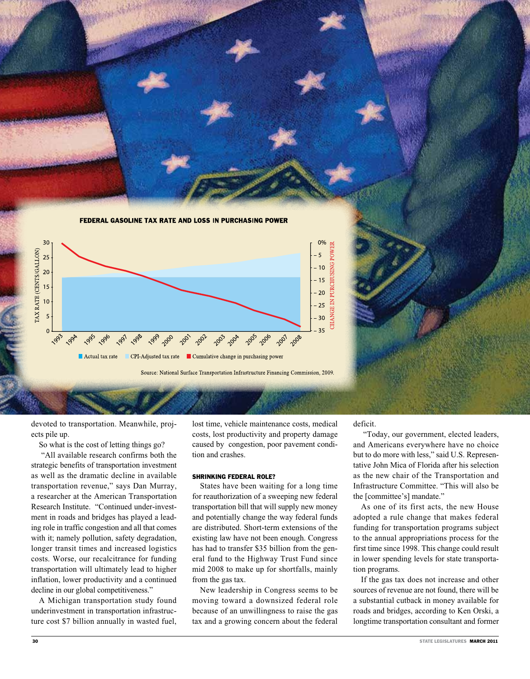

devoted to transportation. Meanwhile, projects pile up.

So what is the cost of letting things go?

 "All available research confirms both the strategic benefits of transportation investment as well as the dramatic decline in available transportation revenue," says Dan Murray, a researcher at the American Transportation Research Institute. "Continued under-investment in roads and bridges has played a leading role in traffic congestion and all that comes with it; namely pollution, safety degradation, longer transit times and increased logistics costs. Worse, our recalcitrance for funding transportation will ultimately lead to higher inflation, lower productivity and a continued decline in our global competitiveness."

A Michigan transportation study found underinvestment in transportation infrastructure cost \$7 billion annually in wasted fuel,

lost time, vehicle maintenance costs, medical costs, lost productivity and property damage caused by congestion, poor pavement condition and crashes.

#### SHRINKING FEDERAL ROLE?

States have been waiting for a long time for reauthorization of a sweeping new federal transportation bill that will supply new money and potentially change the way federal funds are distributed. Short-term extensions of the existing law have not been enough. Congress has had to transfer \$35 billion from the general fund to the Highway Trust Fund since mid 2008 to make up for shortfalls, mainly from the gas tax.

New leadership in Congress seems to be moving toward a downsized federal role because of an unwillingness to raise the gas tax and a growing concern about the federal

#### deficit.

 "Today, our government, elected leaders, and Americans everywhere have no choice but to do more with less," said U.S. Representative John Mica of Florida after his selection as the new chair of the Transportation and Infrastructure Committee. "This will also be the [committee's] mandate."

As one of its first acts, the new House adopted a rule change that makes federal funding for transportation programs subject to the annual appropriations process for the first time since 1998. This change could result in lower spending levels for state transportation programs.

If the gas tax does not increase and other sources of revenue are not found, there will be a substantial cutback in money available for roads and bridges, according to Ken Orski, a longtime transportation consultant and former